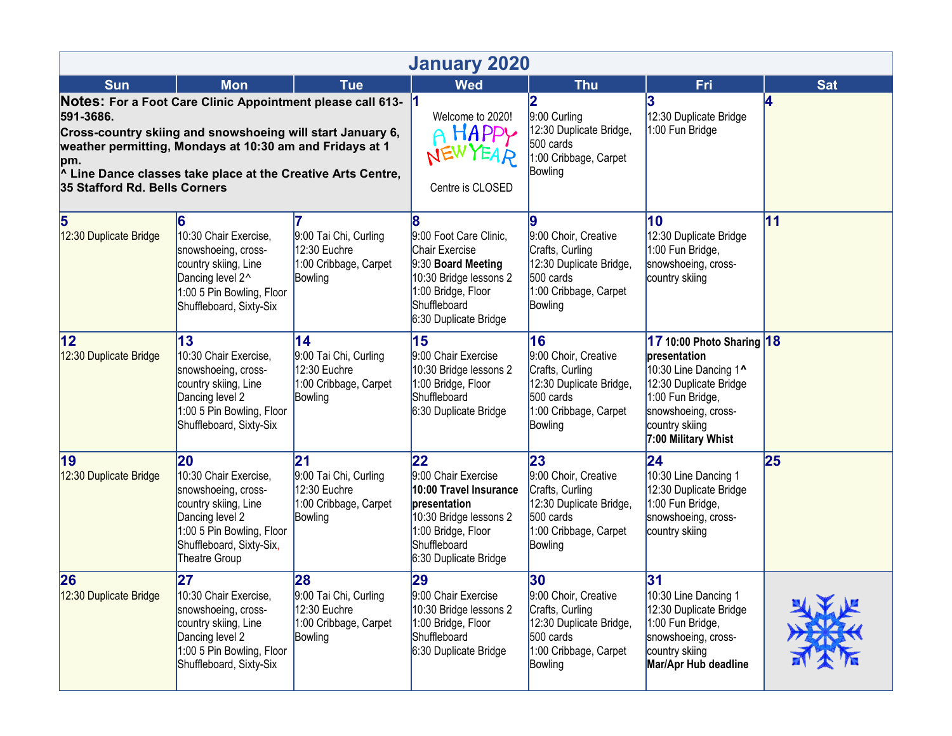| <b>January 2020</b>                                                                                                                                                                                                                                                                                                  |                                                                                                                                                                         |                                                                                 |                                                                                                                                                              |                                                                                                                           |                                                                                                                                                                                  |            |  |  |  |  |  |
|----------------------------------------------------------------------------------------------------------------------------------------------------------------------------------------------------------------------------------------------------------------------------------------------------------------------|-------------------------------------------------------------------------------------------------------------------------------------------------------------------------|---------------------------------------------------------------------------------|--------------------------------------------------------------------------------------------------------------------------------------------------------------|---------------------------------------------------------------------------------------------------------------------------|----------------------------------------------------------------------------------------------------------------------------------------------------------------------------------|------------|--|--|--|--|--|
| <b>Sun</b>                                                                                                                                                                                                                                                                                                           | <b>Mon</b>                                                                                                                                                              | <b>Tue</b>                                                                      | <b>Wed</b>                                                                                                                                                   | <b>Thu</b>                                                                                                                | Fri                                                                                                                                                                              | <b>Sat</b> |  |  |  |  |  |
| Notes: For a Foot Care Clinic Appointment please call 613-<br>591-3686.<br>Cross-country skiing and snowshoeing will start January 6,<br>weather permitting, Mondays at 10:30 am and Fridays at 1<br>pm.<br><sup>1</sup> Line Dance classes take place at the Creative Arts Centre,<br>35 Stafford Rd. Bells Corners |                                                                                                                                                                         |                                                                                 | $\vert$ 1<br>Welcome to 2020!<br>A HAPPY<br>Centre is CLOSED                                                                                                 | 2<br>9:00 Curling<br>12:30 Duplicate Bridge,<br>500 cards<br>1:00 Cribbage, Carpet<br>Bowling                             | 12:30 Duplicate Bridge<br>1:00 Fun Bridge                                                                                                                                        | 4          |  |  |  |  |  |
| 5<br>12:30 Duplicate Bridge                                                                                                                                                                                                                                                                                          | 6<br>10:30 Chair Exercise,<br>snowshoeing, cross-<br>country skiing, Line<br>Dancing level 2^<br>1:00 5 Pin Bowling, Floor<br>Shuffleboard, Sixty-Six                   | 9:00 Tai Chi, Curling<br>12:30 Euchre<br>1:00 Cribbage, Carpet<br>Bowling       | 8<br>9:00 Foot Care Clinic,<br>Chair Exercise<br>9:30 Board Meeting<br>10:30 Bridge lessons 2<br>1:00 Bridge, Floor<br>Shuffleboard<br>6:30 Duplicate Bridge | 9<br>9:00 Choir, Creative<br>Crafts, Curling<br>12:30 Duplicate Bridge,<br>500 cards<br>1:00 Cribbage, Carpet<br>Bowling  | 10<br>12:30 Duplicate Bridge<br>1:00 Fun Bridge,<br>snowshoeing, cross-<br>country skiing                                                                                        | 11         |  |  |  |  |  |
| $ 12\rangle$<br>12:30 Duplicate Bridge                                                                                                                                                                                                                                                                               | 13<br>10:30 Chair Exercise,<br>snowshoeing, cross-<br>country skiing, Line<br>Dancing level 2<br>1:00 5 Pin Bowling, Floor<br>Shuffleboard, Sixty-Six                   | 14<br>9:00 Tai Chi, Curling<br>12:30 Euchre<br>1:00 Cribbage, Carpet<br>Bowling | 15<br>9:00 Chair Exercise<br>10:30 Bridge lessons 2<br>1:00 Bridge, Floor<br>Shuffleboard<br>6:30 Duplicate Bridge                                           | 16<br>9:00 Choir, Creative<br>Crafts, Curling<br>12:30 Duplicate Bridge,<br>500 cards<br>1:00 Cribbage, Carpet<br>Bowling | 17 10:00 Photo Sharing 18<br>presentation<br>10:30 Line Dancing 1^<br>12:30 Duplicate Bridge<br>1:00 Fun Bridge,<br>snowshoeing, cross-<br>country skiing<br>7:00 Military Whist |            |  |  |  |  |  |
| 19<br>12:30 Duplicate Bridge                                                                                                                                                                                                                                                                                         | 20<br>10:30 Chair Exercise,<br>snowshoeing, cross-<br>country skiing, Line<br>Dancing level 2<br>1:00 5 Pin Bowling, Floor<br>Shuffleboard, Sixty-Six,<br>Theatre Group | 21<br>9:00 Tai Chi, Curling<br>12:30 Euchre<br>1:00 Cribbage, Carpet<br>Bowling | 22<br>9:00 Chair Exercise<br>10:00 Travel Insurance<br>presentation<br>10:30 Bridge lessons 2<br>1:00 Bridge, Floor<br>Shuffleboard<br>6:30 Duplicate Bridge | 23<br>9:00 Choir, Creative<br>Crafts, Curling<br>12:30 Duplicate Bridge,<br>500 cards<br>1:00 Cribbage, Carpet<br>Bowling | $\overline{24}$<br>10:30 Line Dancing 1<br>12:30 Duplicate Bridge<br>1:00 Fun Bridge,<br>snowshoeing, cross-<br>country skiing                                                   | 25         |  |  |  |  |  |
| 26<br>12:30 Duplicate Bridge                                                                                                                                                                                                                                                                                         | 27<br>10:30 Chair Exercise,<br>snowshoeing, cross-<br>country skiing, Line<br>Dancing level 2<br>1:00 5 Pin Bowling, Floor<br>Shuffleboard, Sixty-Six                   | 28<br>9:00 Tai Chi, Curling<br>12:30 Euchre<br>1:00 Cribbage, Carpet<br>Bowling | 29<br>9:00 Chair Exercise<br>10:30 Bridge lessons 2<br>1:00 Bridge, Floor<br>Shuffleboard<br>6:30 Duplicate Bridge                                           | 30<br>9:00 Choir, Creative<br>Crafts, Curling<br>12:30 Duplicate Bridge,<br>500 cards<br>1:00 Cribbage, Carpet<br>Bowling | 31<br>10:30 Line Dancing 1<br>12:30 Duplicate Bridge<br>1:00 Fun Bridge,<br>snowshoeing, cross-<br>country skiing<br>Mar/Apr Hub deadline                                        |            |  |  |  |  |  |